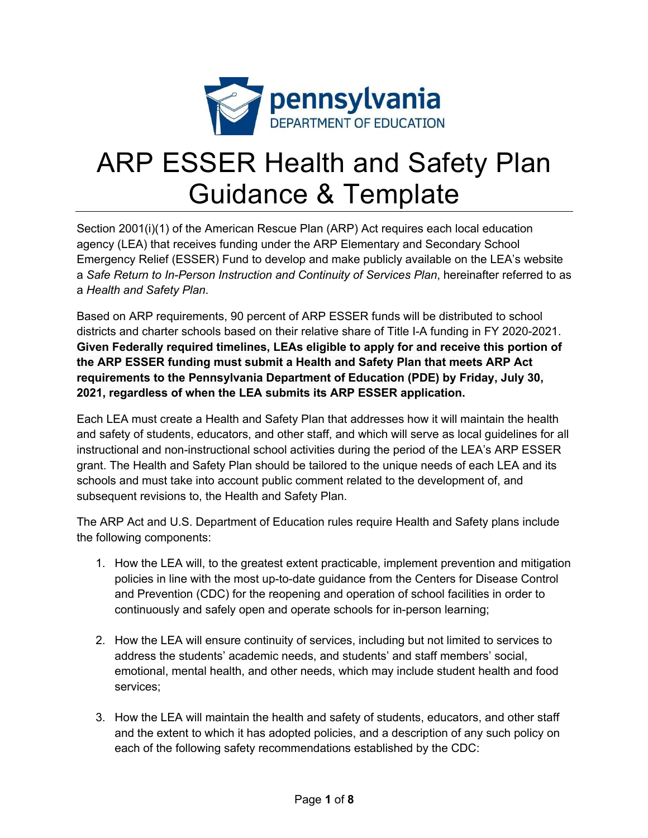

# ARP ESSER Health and Safety Plan Guidance & Template

Section 2001(i)(1) of the American Rescue Plan (ARP) Act requires each local education agency (LEA) that receives funding under the ARP Elementary and Secondary School Emergency Relief (ESSER) Fund to develop and make publicly available on the LEA's website a *Safe Return to In-Person Instruction and Continuity of Services Plan*, hereinafter referred to as a *Health and Safety Plan*.

Based on ARP requirements, 90 percent of ARP ESSER funds will be distributed to school districts and charter schools based on their relative share of Title I-A funding in FY 2020-2021. **Given Federally required timelines, LEAs eligible to apply for and receive this portion of the ARP ESSER funding must submit a Health and Safety Plan that meets ARP Act requirements to the Pennsylvania Department of Education (PDE) by Friday, July 30, 2021, regardless of when the LEA submits its ARP ESSER application.** 

Each LEA must create a Health and Safety Plan that addresses how it will maintain the health and safety of students, educators, and other staff, and which will serve as local guidelines for all instructional and non-instructional school activities during the period of the LEA's ARP ESSER grant. The Health and Safety Plan should be tailored to the unique needs of each LEA and its schools and must take into account public comment related to the development of, and subsequent revisions to, the Health and Safety Plan.

The ARP Act and U.S. Department of Education rules require Health and Safety plans include the following components:

- 1. How the LEA will, to the greatest extent practicable, implement prevention and mitigation policies in line with the most up-to-date guidance from the Centers for Disease Control and Prevention (CDC) for the reopening and operation of school facilities in order to continuously and safely open and operate schools for in-person learning;
- 2. How the LEA will ensure continuity of services, including but not limited to services to address the students' academic needs, and students' and staff members' social, emotional, mental health, and other needs, which may include student health and food services;
- 3. How the LEA will maintain the health and safety of students, educators, and other staff and the extent to which it has adopted policies, and a description of any such policy on each of the following safety recommendations established by the CDC: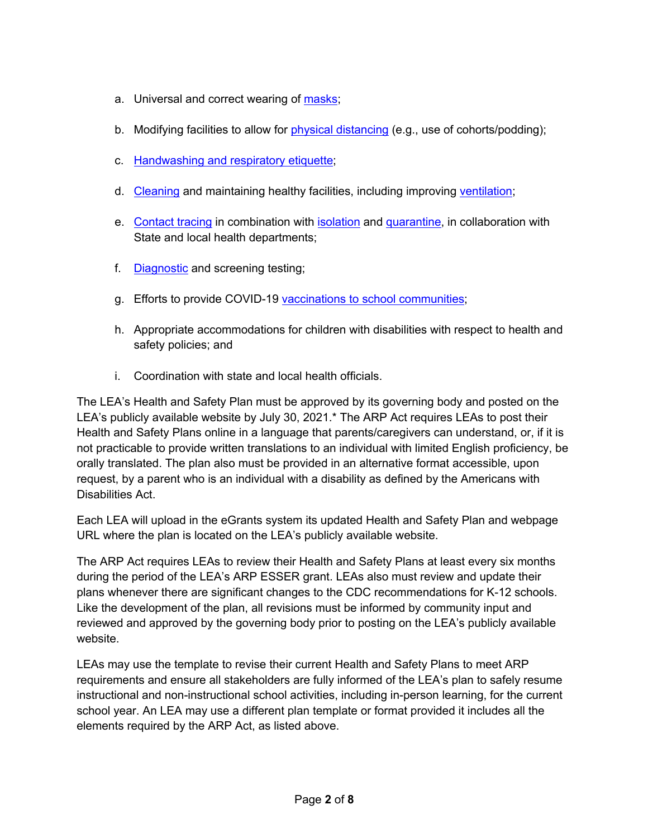- a. Universal and correct wearing of masks;
- b. Modifying facilities to allow for physical distancing (e.g., use of cohorts/podding);
- c. Handwashing and respiratory etiquette;
- d. Cleaning and maintaining healthy facilities, including improving ventilation;
- e. Contact tracing in combination with isolation and quarantine, in collaboration with State and local health departments;
- f. Diagnostic and screening testing;
- g. Efforts to provide COVID-19 vaccinations to school communities;
- h. Appropriate accommodations for children with disabilities with respect to health and safety policies; and
- i. Coordination with state and local health officials.

The LEA's Health and Safety Plan must be approved by its governing body and posted on the LEA's publicly available website by July 30, 2021.\* The ARP Act requires LEAs to post their Health and Safety Plans online in a language that parents/caregivers can understand, or, if it is not practicable to provide written translations to an individual with limited English proficiency, be orally translated. The plan also must be provided in an alternative format accessible, upon request, by a parent who is an individual with a disability as defined by the Americans with Disabilities Act.

Each LEA will upload in the eGrants system its updated Health and Safety Plan and webpage URL where the plan is located on the LEA's publicly available website.

The ARP Act requires LEAs to review their Health and Safety Plans at least every six months during the period of the LEA's ARP ESSER grant. LEAs also must review and update their plans whenever there are significant changes to the CDC recommendations for K-12 schools. Like the development of the plan, all revisions must be informed by community input and reviewed and approved by the governing body prior to posting on the LEA's publicly available website.

LEAs may use the template to revise their current Health and Safety Plans to meet ARP requirements and ensure all stakeholders are fully informed of the LEA's plan to safely resume instructional and non-instructional school activities, including in-person learning, for the current school year. An LEA may use a different plan template or format provided it includes all the elements required by the ARP Act, as listed above.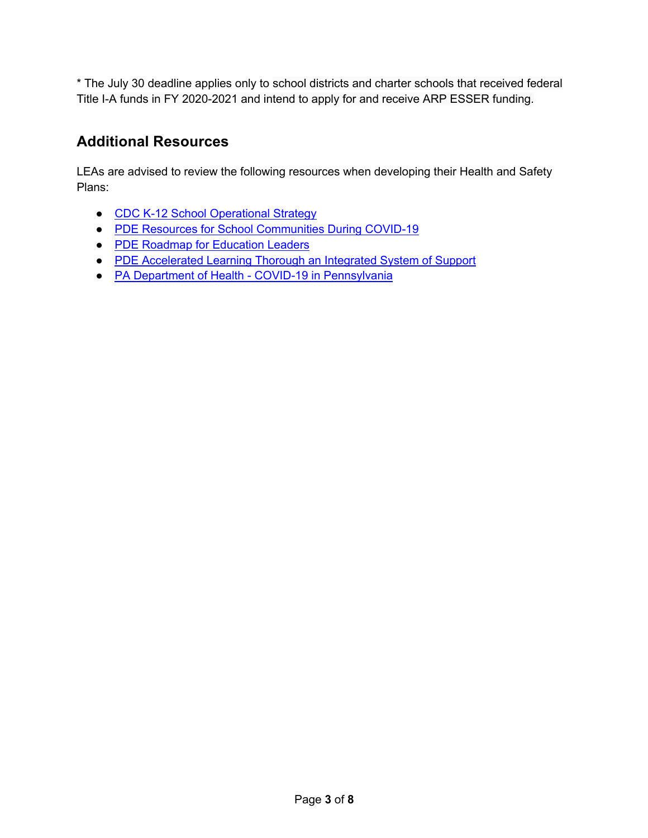\* The July 30 deadline applies only to school districts and charter schools that received federal Title I-A funds in FY 2020-2021 and intend to apply for and receive ARP ESSER funding.

## **Additional Resources**

LEAs are advised to review the following resources when developing their Health and Safety Plans:

- CDC K-12 School Operational Strategy
- PDE Resources for School Communities During COVID-19
- PDE Roadmap for Education Leaders
- PDE Accelerated Learning Thorough an Integrated System of Support
- PA Department of Health COVID-19 in Pennsylvania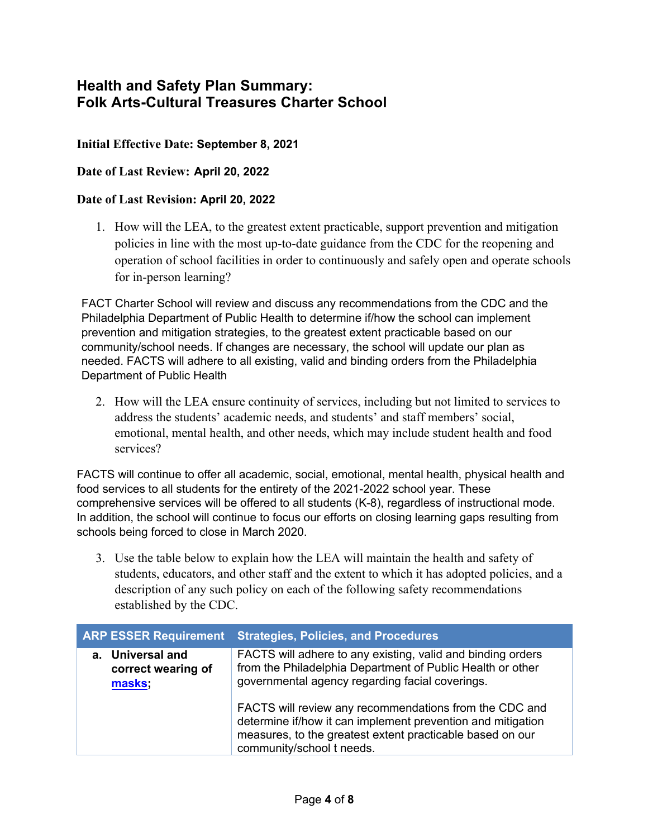## **Health and Safety Plan Summary: Folk Arts-Cultural Treasures Charter School**

#### **Initial Effective Date: September 8, 2021**

#### **Date of Last Review: April 20, 2022**

#### **Date of Last Revision: April 20, 2022**

1. How will the LEA, to the greatest extent practicable, support prevention and mitigation policies in line with the most up-to-date guidance from the CDC for the reopening and operation of school facilities in order to continuously and safely open and operate schools for in-person learning?

FACT Charter School will review and discuss any recommendations from the CDC and the Philadelphia Department of Public Health to determine if/how the school can implement prevention and mitigation strategies, to the greatest extent practicable based on our community/school needs. If changes are necessary, the school will update our plan as needed. FACTS will adhere to all existing, valid and binding orders from the Philadelphia Department of Public Health

2. How will the LEA ensure continuity of services, including but not limited to services to address the students' academic needs, and students' and staff members' social, emotional, mental health, and other needs, which may include student health and food services?

FACTS will continue to offer all academic, social, emotional, mental health, physical health and food services to all students for the entirety of the 2021-2022 school year. These comprehensive services will be offered to all students (K-8), regardless of instructional mode. In addition, the school will continue to focus our efforts on closing learning gaps resulting from schools being forced to close in March 2020.

3. Use the table below to explain how the LEA will maintain the health and safety of students, educators, and other staff and the extent to which it has adopted policies, and a description of any such policy on each of the following safety recommendations established by the CDC.

|                                                  | <b>ARP ESSER Requirement Strategies, Policies, and Procedures</b>                                                                                                                                               |
|--------------------------------------------------|-----------------------------------------------------------------------------------------------------------------------------------------------------------------------------------------------------------------|
| a. Universal and<br>correct wearing of<br>masks; | FACTS will adhere to any existing, valid and binding orders<br>from the Philadelphia Department of Public Health or other<br>governmental agency regarding facial coverings.                                    |
|                                                  | FACTS will review any recommendations from the CDC and<br>determine if/how it can implement prevention and mitigation<br>measures, to the greatest extent practicable based on our<br>community/school t needs. |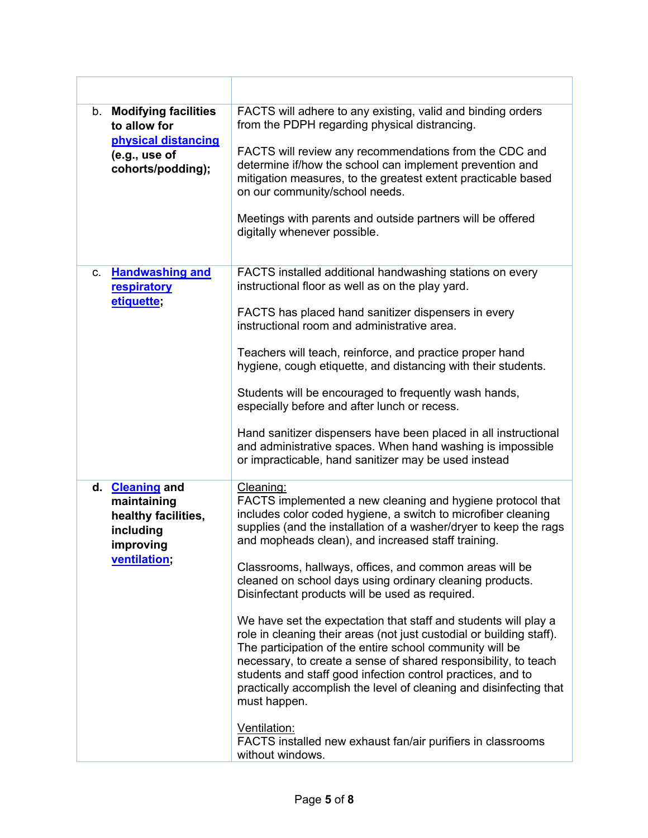| b. Modifying facilities<br>to allow for<br>physical distancing<br>(e.g., use of<br>cohorts/podding); | FACTS will adhere to any existing, valid and binding orders<br>from the PDPH regarding physical distrancing.<br>FACTS will review any recommendations from the CDC and<br>determine if/how the school can implement prevention and<br>mitigation measures, to the greatest extent practicable based<br>on our community/school needs.<br>Meetings with parents and outside partners will be offered<br>digitally whenever possible.                                                                                                                                                                                                                                                                                                                                                                                                                                                                                                                                             |
|------------------------------------------------------------------------------------------------------|---------------------------------------------------------------------------------------------------------------------------------------------------------------------------------------------------------------------------------------------------------------------------------------------------------------------------------------------------------------------------------------------------------------------------------------------------------------------------------------------------------------------------------------------------------------------------------------------------------------------------------------------------------------------------------------------------------------------------------------------------------------------------------------------------------------------------------------------------------------------------------------------------------------------------------------------------------------------------------|
| c. Handwashing and<br>respiratory<br>etiquette;                                                      | FACTS installed additional handwashing stations on every<br>instructional floor as well as on the play yard.<br>FACTS has placed hand sanitizer dispensers in every<br>instructional room and administrative area.<br>Teachers will teach, reinforce, and practice proper hand<br>hygiene, cough etiquette, and distancing with their students.<br>Students will be encouraged to frequently wash hands,<br>especially before and after lunch or recess.<br>Hand sanitizer dispensers have been placed in all instructional<br>and administrative spaces. When hand washing is impossible<br>or impracticable, hand sanitizer may be used instead                                                                                                                                                                                                                                                                                                                               |
| d. Cleaning and<br>maintaining<br>healthy facilities,<br>including<br>improving<br>ventilation;      | Cleaning:<br>FACTS implemented a new cleaning and hygiene protocol that<br>includes color coded hygiene, a switch to microfiber cleaning<br>supplies (and the installation of a washer/dryer to keep the rags<br>and mopheads clean), and increased staff training.<br>Classrooms, hallways, offices, and common areas will be<br>cleaned on school days using ordinary cleaning products.<br>Disinfectant products will be used as required.<br>We have set the expectation that staff and students will play a<br>role in cleaning their areas (not just custodial or building staff).<br>The participation of the entire school community will be<br>necessary, to create a sense of shared responsibility, to teach<br>students and staff good infection control practices, and to<br>practically accomplish the level of cleaning and disinfecting that<br>must happen.<br>Ventilation:<br>FACTS installed new exhaust fan/air purifiers in classrooms<br>without windows. |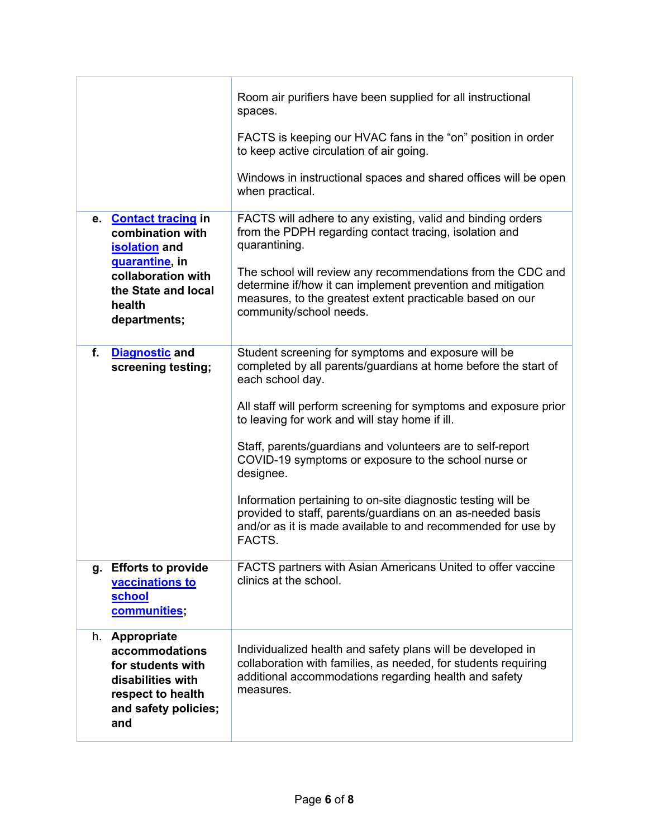|                                                                                                                                | Room air purifiers have been supplied for all instructional<br>spaces.                                                                                                                                             |
|--------------------------------------------------------------------------------------------------------------------------------|--------------------------------------------------------------------------------------------------------------------------------------------------------------------------------------------------------------------|
|                                                                                                                                | FACTS is keeping our HVAC fans in the "on" position in order<br>to keep active circulation of air going.                                                                                                           |
|                                                                                                                                | Windows in instructional spaces and shared offices will be open<br>when practical.                                                                                                                                 |
| e Contact tracing in<br>combination with<br><b>isolation</b> and                                                               | FACTS will adhere to any existing, valid and binding orders<br>from the PDPH regarding contact tracing, isolation and<br>quarantining.                                                                             |
| quarantine, in<br>collaboration with<br>the State and local<br>health<br>departments;                                          | The school will review any recommendations from the CDC and<br>determine if/how it can implement prevention and mitigation<br>measures, to the greatest extent practicable based on our<br>community/school needs. |
| f.<br><b>Diagnostic and</b><br>screening testing;                                                                              | Student screening for symptoms and exposure will be<br>completed by all parents/guardians at home before the start of<br>each school day.                                                                          |
|                                                                                                                                | All staff will perform screening for symptoms and exposure prior<br>to leaving for work and will stay home if ill.                                                                                                 |
|                                                                                                                                | Staff, parents/guardians and volunteers are to self-report<br>COVID-19 symptoms or exposure to the school nurse or<br>designee.                                                                                    |
|                                                                                                                                | Information pertaining to on-site diagnostic testing will be<br>provided to staff, parents/guardians on an as-needed basis<br>and/or as it is made available to and recommended for use by<br>FACTS.               |
| g. Efforts to provide<br>vaccinations to<br>school<br>communities;                                                             | FACTS partners with Asian Americans United to offer vaccine<br>clinics at the school.                                                                                                                              |
| h. Appropriate<br>accommodations<br>for students with<br>disabilities with<br>respect to health<br>and safety policies;<br>and | Individualized health and safety plans will be developed in<br>collaboration with families, as needed, for students requiring<br>additional accommodations regarding health and safety<br>measures.                |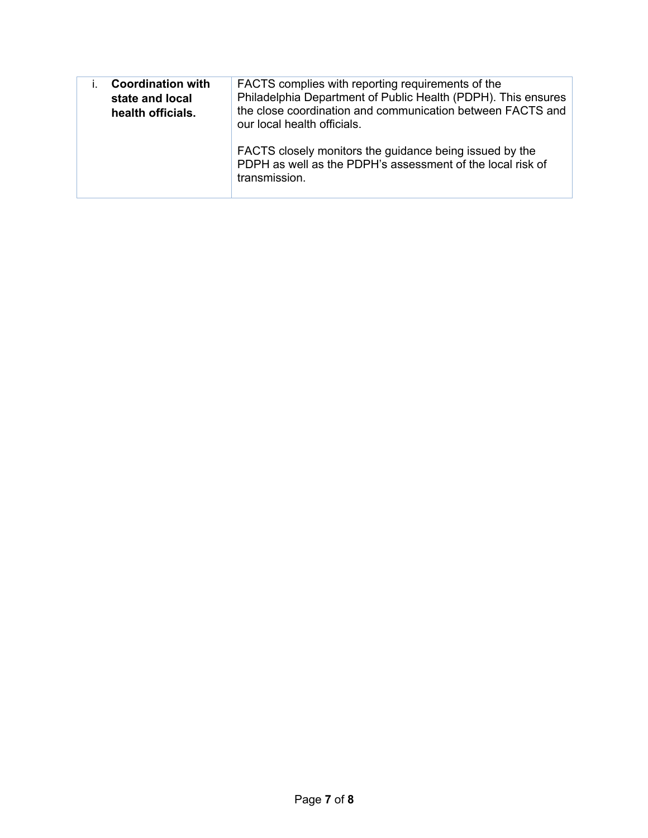| <b>Coordination with</b><br>state and local<br>health officials. | FACTS complies with reporting requirements of the<br>Philadelphia Department of Public Health (PDPH). This ensures<br>the close coordination and communication between FACTS and<br>our local health officials. |
|------------------------------------------------------------------|-----------------------------------------------------------------------------------------------------------------------------------------------------------------------------------------------------------------|
|                                                                  | FACTS closely monitors the guidance being issued by the<br>PDPH as well as the PDPH's assessment of the local risk of<br>transmission.                                                                          |